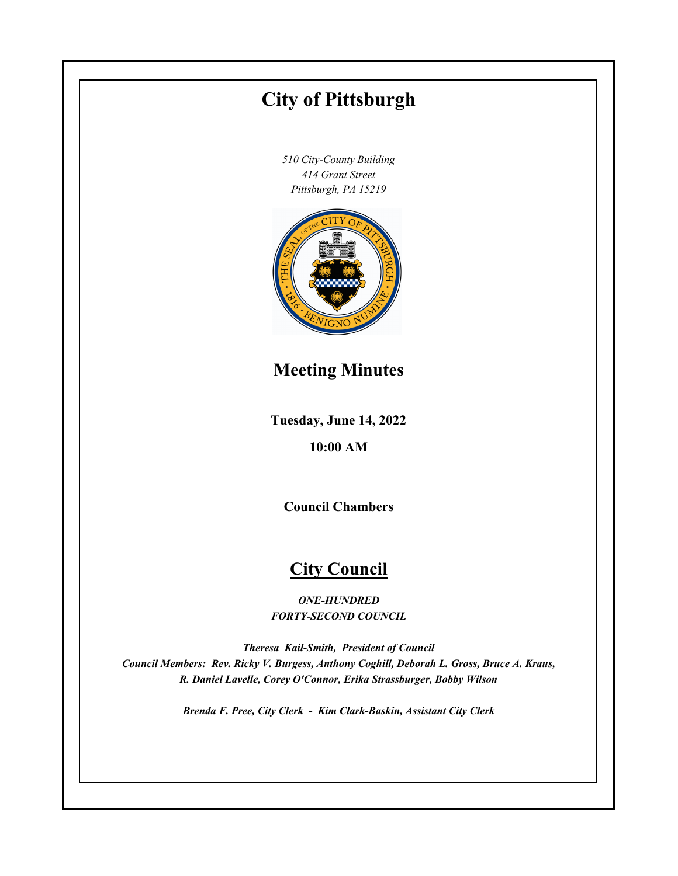# **Tuesday, June 14, 2022 10:00 AM City of Pittsburgh** *510 City-County Building 414 Grant Street Pittsburgh, PA 15219* **Council Chambers City Council** *ONE-HUNDRED FORTY-SECOND COUNCIL Theresa Kail-Smith, President of Council Council Members: Rev. Ricky V. Burgess, Anthony Coghill, Deborah L. Gross, Bruce A. Kraus, R. Daniel Lavelle, Corey O'Connor, Erika Strassburger, Bobby Wilson Brenda F. Pree, City Clerk - Kim Clark-Baskin, Assistant City Clerk* **Meeting Minutes**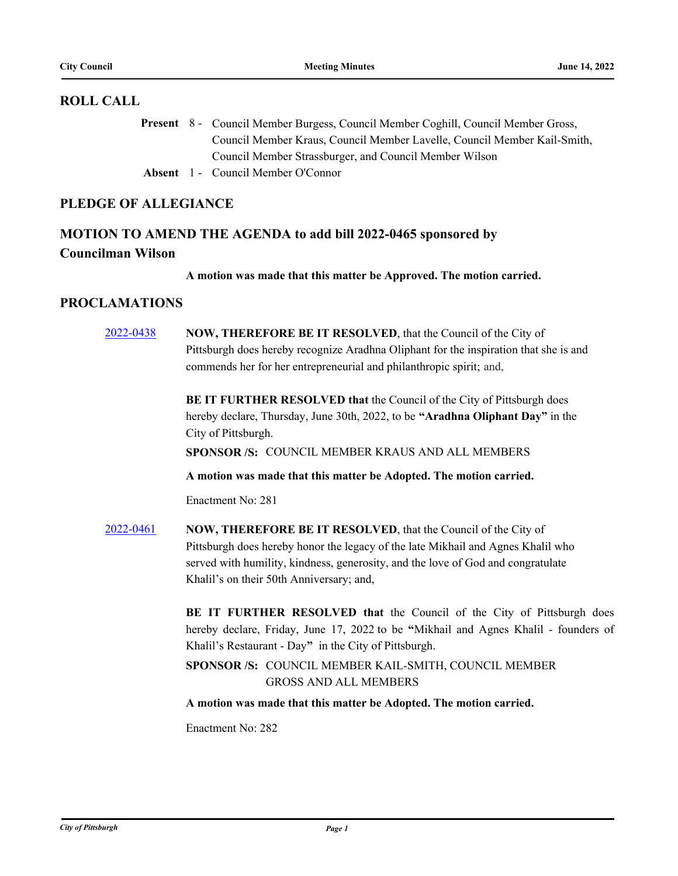#### **ROLL CALL**

Present 8 - Council Member Burgess, Council Member Coghill, Council Member Gross, Council Member Kraus, Council Member Lavelle, Council Member Kail-Smith, Council Member Strassburger, and Council Member Wilson

**Absent** 1 - Council Member O'Connor

## **PLEDGE OF ALLEGIANCE**

# **MOTION TO AMEND THE AGENDA to add bill 2022-0465 sponsored by Councilman Wilson**

**A motion was made that this matter be Approved. The motion carried.**

### **PROCLAMATIONS**

| 2022-0438 | NOW, THEREFORE BE IT RESOLVED, that the Council of the City of                        |
|-----------|---------------------------------------------------------------------------------------|
|           | Pittsburgh does hereby recognize Aradhna Oliphant for the inspiration that she is and |
|           | commends her for her entrepreneurial and philanthropic spirit; and,                   |
|           | BE IT FURTHER RESOLVED that the Council of the City of Pittsburgh does                |
|           | hereby declare, Thursday, June 30th, 2022, to be "Aradhna Oliphant Day" in the        |
|           | City of Pittsburgh.                                                                   |
|           | SPONSOR /S: COUNCIL MEMBER KRAUS AND ALL MEMBERS                                      |
|           | A motion was made that this matter be Adopted. The motion carried.                    |
|           | Enactment No: 281                                                                     |
| 2022-0461 | NOW, THEREFORE BE IT RESOLVED, that the Council of the City of                        |
|           | Pittsburgh does hereby honor the legacy of the late Mikhail and Agnes Khalil who      |
|           | served with humility, kindness, generosity, and the love of God and congratulate      |
|           | Khalil's on their 50th Anniversary; and,                                              |
|           | BE IT FURTHER RESOLVED that the Council of the City of Pittsburgh does                |
|           | hereby declare, Friday, June 17, 2022 to be "Mikhail and Agnes Khalil - founders of   |
|           | Khalil's Restaurant - Day" in the City of Pittsburgh.                                 |
|           | SPONSOR /S: COUNCIL MEMBER KAIL-SMITH, COUNCIL MEMBER                                 |
|           | <b>GROSS AND ALL MEMBERS</b>                                                          |
|           | A motion was made that this matter be Adopted. The motion carried.                    |
|           | Enactment No: 282                                                                     |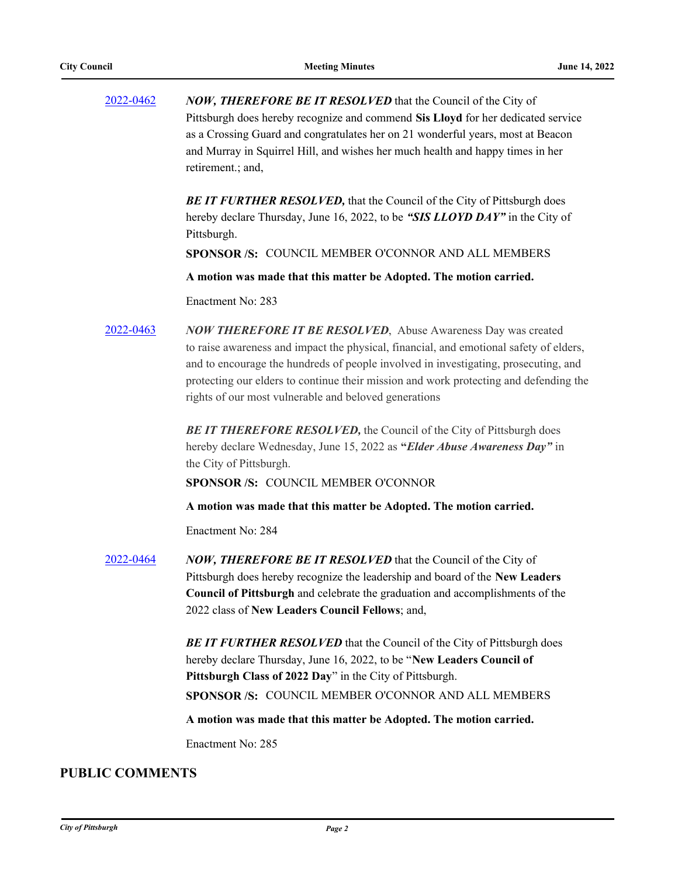| 2022-0462 | <b>NOW, THEREFORE BE IT RESOLVED</b> that the Council of the City of             |
|-----------|----------------------------------------------------------------------------------|
|           | Pittsburgh does hereby recognize and commend Sis Lloyd for her dedicated service |
|           | as a Crossing Guard and congratulates her on 21 wonderful years, most at Beacon  |
|           | and Murray in Squirrel Hill, and wishes her much health and happy times in her   |
|           | retirement.; and,                                                                |

**BE IT FURTHER RESOLVED, that the Council of the City of Pittsburgh does** hereby declare Thursday, June 16, 2022, to be *"SIS LLOYD DAY"* in the City of Pittsburgh.

**SPONSOR /S:** COUNCIL MEMBER O'CONNOR AND ALL MEMBERS

**A motion was made that this matter be Adopted. The motion carried.**

Enactment No: 283

[2022-0463](http://pittsburgh.legistar.com/gateway.aspx?m=l&id=/matter.aspx?key=27858) *NOW THEREFORE IT BE RESOLVED*, Abuse Awareness Day was created to raise awareness and impact the physical, financial, and emotional safety of elders, and to encourage the hundreds of people involved in investigating, prosecuting, and protecting our elders to continue their mission and work protecting and defending the rights of our most vulnerable and beloved generations

> **BE IT THEREFORE RESOLVED, the Council of the City of Pittsburgh does** hereby declare Wednesday, June 15, 2022 as **"***Elder Abuse Awareness Day"* in the City of Pittsburgh.

**SPONSOR /S:** COUNCIL MEMBER O'CONNOR

**A motion was made that this matter be Adopted. The motion carried.**

Enactment No: 284

[2022-0464](http://pittsburgh.legistar.com/gateway.aspx?m=l&id=/matter.aspx?key=27859) *NOW, THEREFORE BE IT RESOLVED* that the Council of the City of Pittsburgh does hereby recognize the leadership and board of the **New Leaders Council of Pittsburgh** and celebrate the graduation and accomplishments of the 2022 class of **New Leaders Council Fellows**; and,

> **BE IT FURTHER RESOLVED** that the Council of the City of Pittsburgh does hereby declare Thursday, June 16, 2022, to be "**New Leaders Council of Pittsburgh Class of 2022 Day**" in the City of Pittsburgh. **SPONSOR /S:** COUNCIL MEMBER O'CONNOR AND ALL MEMBERS

**A motion was made that this matter be Adopted. The motion carried.**

Enactment No: 285

### **PUBLIC COMMENTS**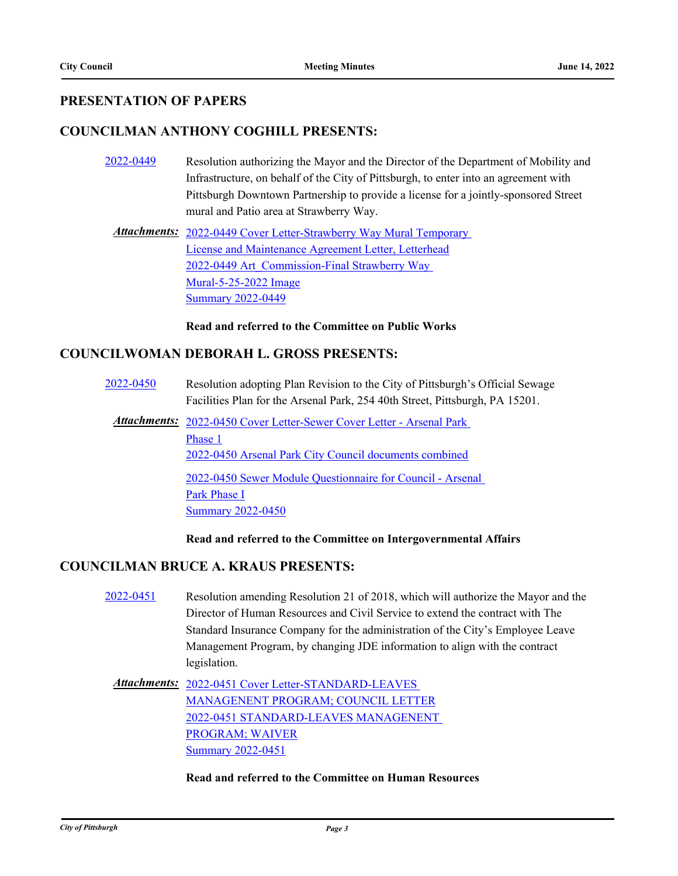## **PRESENTATION OF PAPERS**

## **COUNCILMAN ANTHONY COGHILL PRESENTS:**

- [2022-0449](http://pittsburgh.legistar.com/gateway.aspx?m=l&id=/matter.aspx?key=27844) Resolution authorizing the Mayor and the Director of the Department of Mobility and Infrastructure, on behalf of the City of Pittsburgh, to enter into an agreement with Pittsburgh Downtown Partnership to provide a license for a jointly-sponsored Street mural and Patio area at Strawberry Way.
	- Attachments: 2022-0449 Cover Letter-Strawberry Way Mural Temporary License and Maintenance Agreement Letter, Letterhead [2022-0449 Art\\_Commission-Final Strawberry Way](http://pittsburgh.legistar.com/gateway.aspx?M=F&ID=6313c058-a349-409b-a957-cbcdf03b92e2.pdf)  Mural-5-25-2022 Image [Summary 2022-0449](http://pittsburgh.legistar.com/gateway.aspx?M=F&ID=31929ab3-f23c-476a-99e0-2f75253de335.docx)

**Read and referred to the Committee on Public Works**

### **COUNCILWOMAN DEBORAH L. GROSS PRESENTS:**

- [2022-0450](http://pittsburgh.legistar.com/gateway.aspx?m=l&id=/matter.aspx?key=27845) Resolution adopting Plan Revision to the City of Pittsburgh's Official Sewage Facilities Plan for the Arsenal Park, 254 40th Street, Pittsburgh, PA 15201.
	- Attachments: 2022-0450 Cover Letter-Sewer Cover Letter Arsenal Park Phase 1 [2022-0450 Arsenal Park City Council documents combined](http://pittsburgh.legistar.com/gateway.aspx?M=F&ID=23b5958e-d71c-4e4b-95d3-ce9285c94201.pdf) [2022-0450 Sewer Module Questionnaire for Council - Arsenal](http://pittsburgh.legistar.com/gateway.aspx?M=F&ID=0341832e-fd43-47c1-a936-12c9f757d61b.docx)  Park Phase I [Summary 2022-0450](http://pittsburgh.legistar.com/gateway.aspx?M=F&ID=4a4367ab-f7d1-4f7d-92c5-7c7e40c750c1.docx)

#### **Read and referred to the Committee on Intergovernmental Affairs**

## **COUNCILMAN BRUCE A. KRAUS PRESENTS:**

- [2022-0451](http://pittsburgh.legistar.com/gateway.aspx?m=l&id=/matter.aspx?key=27846) Resolution amending Resolution 21 of 2018, which will authorize the Mayor and the Director of Human Resources and Civil Service to extend the contract with The Standard Insurance Company for the administration of the City's Employee Leave Management Program, by changing JDE information to align with the contract legislation.
	- Attachments: 2022-0451 Cover Letter-STANDARD-LEAVES [MANAGENENT PROGRAM; COUNCIL LETTER](http://pittsburgh.legistar.com/gateway.aspx?M=F&ID=4fecca10-c663-46fa-9f16-21e4637d9e55.pdf) [2022-0451 STANDARD-LEAVES MANAGENENT](http://pittsburgh.legistar.com/gateway.aspx?M=F&ID=12f34b80-b7f1-4eee-a9f0-d71c0e583fcf.pdf)  PROGRAM; WAIVER [Summary 2022-0451](http://pittsburgh.legistar.com/gateway.aspx?M=F&ID=828174cc-3e0b-4dd4-a2b7-1e122a415e17.docx)

#### **Read and referred to the Committee on Human Resources**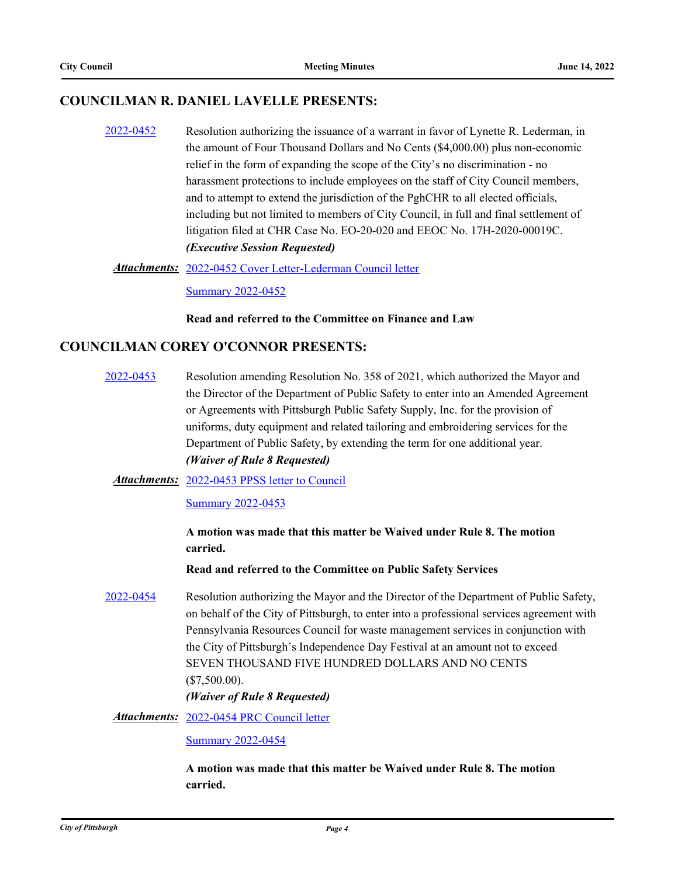## **COUNCILMAN R. DANIEL LAVELLE PRESENTS:**

[2022-0452](http://pittsburgh.legistar.com/gateway.aspx?m=l&id=/matter.aspx?key=27847) Resolution authorizing the issuance of a warrant in favor of Lynette R. Lederman, in the amount of Four Thousand Dollars and No Cents (\$4,000.00) plus non-economic relief in the form of expanding the scope of the City's no discrimination - no harassment protections to include employees on the staff of City Council members, and to attempt to extend the jurisdiction of the PghCHR to all elected officials, including but not limited to members of City Council, in full and final settlement of litigation filed at CHR Case No. EO-20-020 and EEOC No. 17H-2020-00019C. *(Executive Session Requested)*

#### [2022-0452 Cover Letter-Lederman Council letter](http://pittsburgh.legistar.com/gateway.aspx?M=F&ID=2138dab9-443e-4cbd-aa9c-e68afeac7687.docx) *Attachments:*

[Summary 2022-0452](http://pittsburgh.legistar.com/gateway.aspx?M=F&ID=804f5a5a-51d1-440c-bccb-62b4abed5a7e.docx)

#### **Read and referred to the Committee on Finance and Law**

### **COUNCILMAN COREY O'CONNOR PRESENTS:**

[2022-0453](http://pittsburgh.legistar.com/gateway.aspx?m=l&id=/matter.aspx?key=27848) Resolution amending Resolution No. 358 of 2021, which authorized the Mayor and the Director of the Department of Public Safety to enter into an Amended Agreement or Agreements with Pittsburgh Public Safety Supply, Inc. for the provision of uniforms, duty equipment and related tailoring and embroidering services for the Department of Public Safety, by extending the term for one additional year. *(Waiver of Rule 8 Requested)*

#### Attachments: [2022-0453 PPSS letter to Council](http://pittsburgh.legistar.com/gateway.aspx?M=F&ID=10c025fd-dd34-4555-a237-39535142064e.pdf)

[Summary 2022-0453](http://pittsburgh.legistar.com/gateway.aspx?M=F&ID=083d2de0-c3bb-4f42-a368-536e02f85365.docx)

**A motion was made that this matter be Waived under Rule 8. The motion carried.**

**Read and referred to the Committee on Public Safety Services**

[2022-0454](http://pittsburgh.legistar.com/gateway.aspx?m=l&id=/matter.aspx?key=27849) Resolution authorizing the Mayor and the Director of the Department of Public Safety, on behalf of the City of Pittsburgh, to enter into a professional services agreement with Pennsylvania Resources Council for waste management services in conjunction with the City of Pittsburgh's Independence Day Festival at an amount not to exceed SEVEN THOUSAND FIVE HUNDRED DOLLARS AND NO CENTS (\$7,500.00).

#### *(Waiver of Rule 8 Requested)*

Attachments: [2022-0454 PRC Council letter](http://pittsburgh.legistar.com/gateway.aspx?M=F&ID=d014400f-8022-41c3-a392-e575dae499c5.pdf)

[Summary 2022-0454](http://pittsburgh.legistar.com/gateway.aspx?M=F&ID=ed8c19fa-d17d-4695-919d-7c349f787060.docx)

**A motion was made that this matter be Waived under Rule 8. The motion carried.**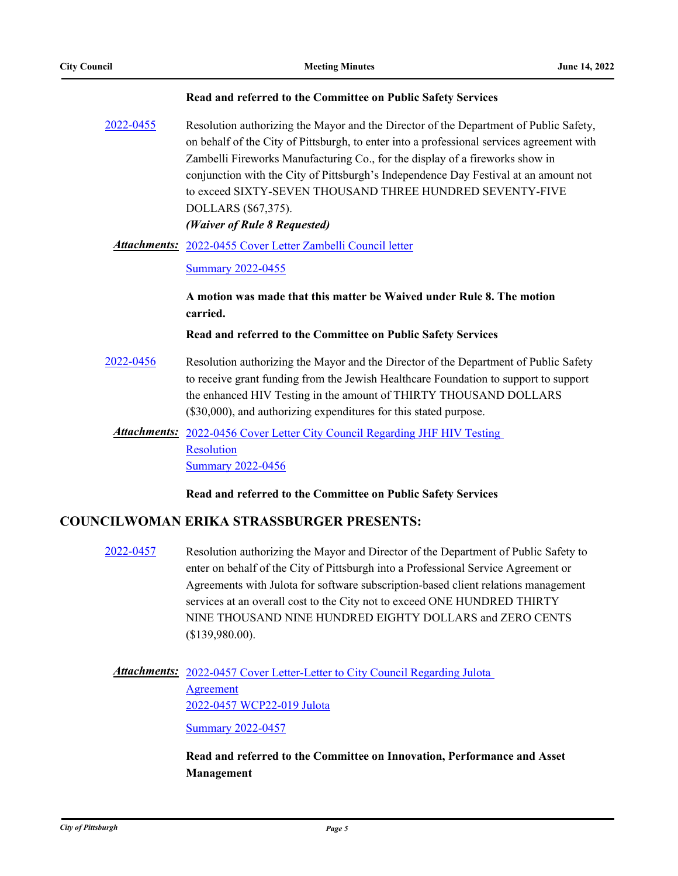#### **Read and referred to the Committee on Public Safety Services**

[2022-0455](http://pittsburgh.legistar.com/gateway.aspx?m=l&id=/matter.aspx?key=27850) Resolution authorizing the Mayor and the Director of the Department of Public Safety, on behalf of the City of Pittsburgh, to enter into a professional services agreement with Zambelli Fireworks Manufacturing Co., for the display of a fireworks show in conjunction with the City of Pittsburgh's Independence Day Festival at an amount not to exceed SIXTY-SEVEN THOUSAND THREE HUNDRED SEVENTY-FIVE DOLLARS (\$67,375). *(Waiver of Rule 8 Requested)*

# [2022-0455 Cover Letter Zambelli Council letter](http://pittsburgh.legistar.com/gateway.aspx?M=F&ID=01abdca1-579a-4877-bf3e-8362a1931ef3.pdf) *Attachments:*

#### [Summary 2022-0455](http://pittsburgh.legistar.com/gateway.aspx?M=F&ID=5bd92be5-9348-4043-9f22-08da19a9e710.docx)

#### **A motion was made that this matter be Waived under Rule 8. The motion carried.**

#### **Read and referred to the Committee on Public Safety Services**

- [2022-0456](http://pittsburgh.legistar.com/gateway.aspx?m=l&id=/matter.aspx?key=27851) Resolution authorizing the Mayor and the Director of the Department of Public Safety to receive grant funding from the Jewish Healthcare Foundation to support to support the enhanced HIV Testing in the amount of THIRTY THOUSAND DOLLARS (\$30,000), and authorizing expenditures for this stated purpose.
	- Attachments: 2022-0456 Cover Letter City Council Regarding JHF HIV Testing Resolution [Summary 2022-0456](http://pittsburgh.legistar.com/gateway.aspx?M=F&ID=824b96a8-f67a-4323-82f6-584e47a787e5.docx)

**Read and referred to the Committee on Public Safety Services**

#### **COUNCILWOMAN ERIKA STRASSBURGER PRESENTS:**

[2022-0457](http://pittsburgh.legistar.com/gateway.aspx?m=l&id=/matter.aspx?key=27852) Resolution authorizing the Mayor and Director of the Department of Public Safety to enter on behalf of the City of Pittsburgh into a Professional Service Agreement or Agreements with Julota for software subscription-based client relations management services at an overall cost to the City not to exceed ONE HUNDRED THIRTY NINE THOUSAND NINE HUNDRED EIGHTY DOLLARS and ZERO CENTS (\$139,980.00).

# Attachments: 2022-0457 Cover Letter-Letter to City Council Regarding Julota Agreement [2022-0457 WCP22-019 Julota](http://pittsburgh.legistar.com/gateway.aspx?M=F&ID=13381a41-7e6a-4195-97a7-b148eb71309d.pdf)

[Summary 2022-0457](http://pittsburgh.legistar.com/gateway.aspx?M=F&ID=7f62d9e4-c005-4530-b81f-0bea7e34802b.docx)

### **Read and referred to the Committee on Innovation, Performance and Asset Management**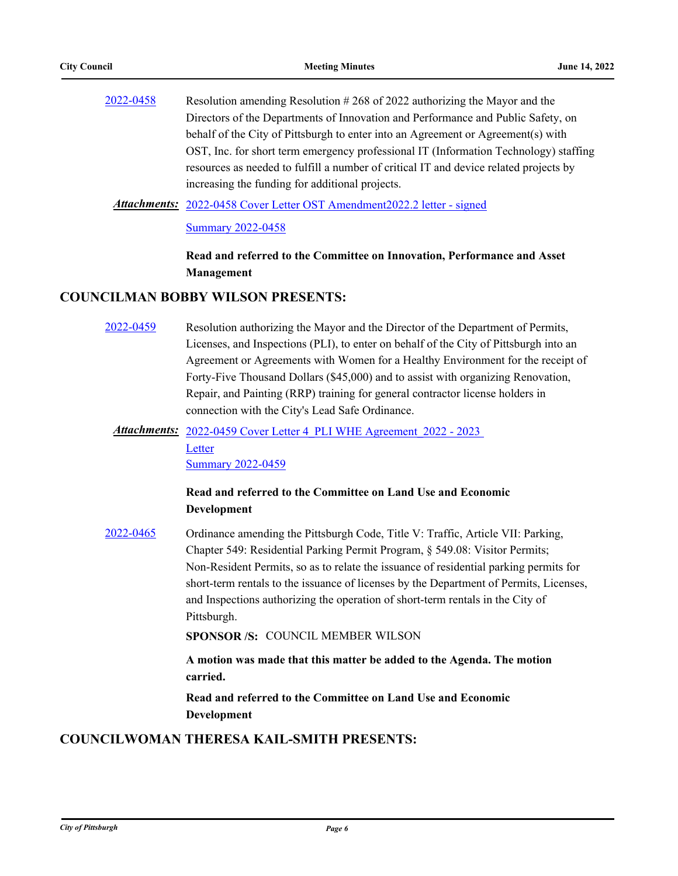| 2022-0458 | Resolution amending Resolution $\#268$ of 2022 authorizing the Mayor and the          |
|-----------|---------------------------------------------------------------------------------------|
|           | Directors of the Departments of Innovation and Performance and Public Safety, on      |
|           | behalf of the City of Pittsburgh to enter into an Agreement or Agreement(s) with      |
|           | OST, Inc. for short term emergency professional IT (Information Technology) staffing  |
|           | resources as needed to fulfill a number of critical IT and device related projects by |
|           | increasing the funding for additional projects.                                       |
|           |                                                                                       |

Attachments: [2022-0458 Cover Letter OST Amendment2022.2 letter - signed](http://pittsburgh.legistar.com/gateway.aspx?M=F&ID=83c59e4d-7749-4cb2-af9d-2d24568fce46.pdf)

[Summary 2022-0458](http://pittsburgh.legistar.com/gateway.aspx?M=F&ID=47a28ebe-3609-4aac-a1c6-cae273b98566.docx)

**Read and referred to the Committee on Innovation, Performance and Asset Management**

#### **COUNCILMAN BOBBY WILSON PRESENTS:**

[2022-0459](http://pittsburgh.legistar.com/gateway.aspx?m=l&id=/matter.aspx?key=27854) Resolution authorizing the Mayor and the Director of the Department of Permits, Licenses, and Inspections (PLI), to enter on behalf of the City of Pittsburgh into an Agreement or Agreements with Women for a Healthy Environment for the receipt of Forty-Five Thousand Dollars (\$45,000) and to assist with organizing Renovation, Repair, and Painting (RRP) training for general contractor license holders in connection with the City's Lead Safe Ordinance.

## Attachments: 2022-0459 Cover Letter 4 PLI WHE Agreement 2022 - 2023 **Letter** [Summary 2022-0459](http://pittsburgh.legistar.com/gateway.aspx?M=F&ID=872576f1-65b6-4891-8957-73bbc9a9c591.docx)

## **Read and referred to the Committee on Land Use and Economic Development**

[2022-0465](http://pittsburgh.legistar.com/gateway.aspx?m=l&id=/matter.aspx?key=27860) Ordinance amending the Pittsburgh Code, Title V: Traffic, Article VII: Parking, Chapter 549: Residential Parking Permit Program, § 549.08: Visitor Permits; Non-Resident Permits, so as to relate the issuance of residential parking permits for short-term rentals to the issuance of licenses by the Department of Permits, Licenses, and Inspections authorizing the operation of short-term rentals in the City of Pittsburgh.

**SPONSOR /S:** COUNCIL MEMBER WILSON

**A motion was made that this matter be added to the Agenda. The motion carried.**

**Read and referred to the Committee on Land Use and Economic Development**

### **COUNCILWOMAN THERESA KAIL-SMITH PRESENTS:**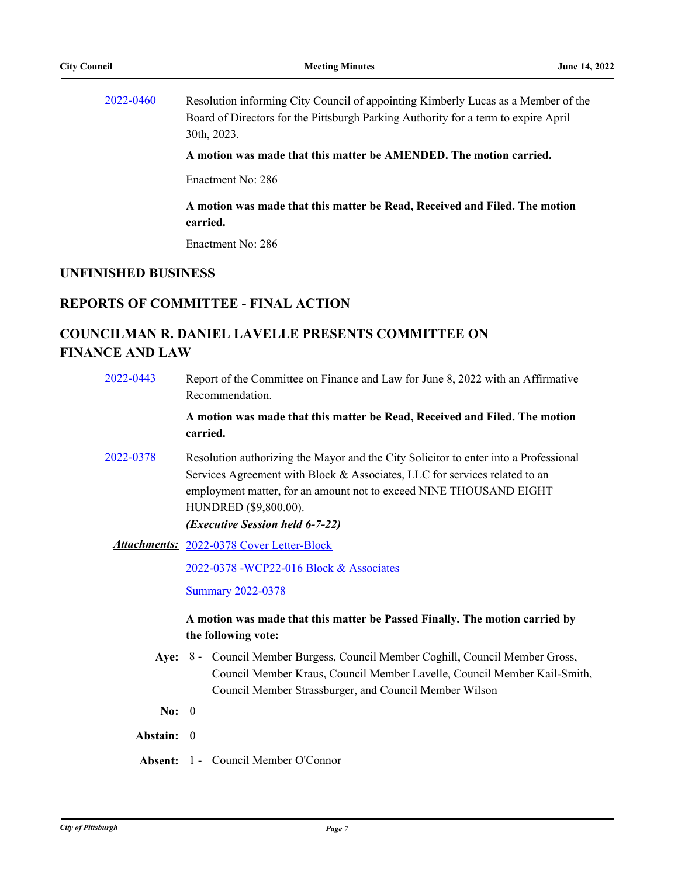[2022-0460](http://pittsburgh.legistar.com/gateway.aspx?m=l&id=/matter.aspx?key=27855) Resolution informing City Council of appointing Kimberly Lucas as a Member of the Board of Directors for the Pittsburgh Parking Authority for a term to expire April 30th, 2023.

**A motion was made that this matter be AMENDED. The motion carried.**

Enactment No: 286

**A motion was made that this matter be Read, Received and Filed. The motion carried.**

Enactment No: 286

#### **UNFINISHED BUSINESS**

#### **REPORTS OF COMMITTEE - FINAL ACTION**

## **COUNCILMAN R. DANIEL LAVELLE PRESENTS COMMITTEE ON FINANCE AND LAW**

[2022-0443](http://pittsburgh.legistar.com/gateway.aspx?m=l&id=/matter.aspx?key=27838) Report of the Committee on Finance and Law for June 8, 2022 with an Affirmative Recommendation.

> **A motion was made that this matter be Read, Received and Filed. The motion carried.**

[2022-0378](http://pittsburgh.legistar.com/gateway.aspx?m=l&id=/matter.aspx?key=27760) Resolution authorizing the Mayor and the City Solicitor to enter into a Professional Services Agreement with Block & Associates, LLC for services related to an employment matter, for an amount not to exceed NINE THOUSAND EIGHT HUNDRED (\$9,800.00).

*(Executive Session held 6-7-22)*

[2022-0378 Cover Letter-Block](http://pittsburgh.legistar.com/gateway.aspx?M=F&ID=ce83f892-b79f-4d74-8f75-83dc87648698.docx) *Attachments:*

[2022-0378 -WCP22-016 Block & Associates](http://pittsburgh.legistar.com/gateway.aspx?M=F&ID=c8a53c58-f538-46ed-9d61-4af5bb81f177.pdf)

**[Summary 2022-0378](http://pittsburgh.legistar.com/gateway.aspx?M=F&ID=6cef0fd2-2a66-4277-8ee1-30b93fd65afb.docx)** 

- Aye: 8 Council Member Burgess, Council Member Coghill, Council Member Gross, Council Member Kraus, Council Member Lavelle, Council Member Kail-Smith, Council Member Strassburger, and Council Member Wilson
- **No:** 0
- **Abstain:** 0
- **Absent:** 1 Council Member O'Connor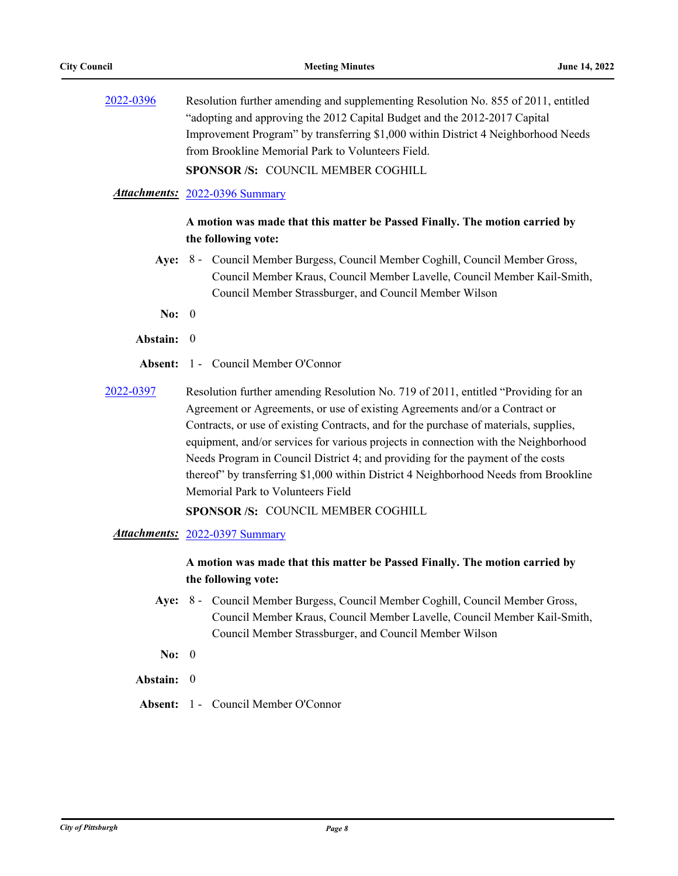[2022-0396](http://pittsburgh.legistar.com/gateway.aspx?m=l&id=/matter.aspx?key=27779) Resolution further amending and supplementing Resolution No. 855 of 2011, entitled "adopting and approving the 2012 Capital Budget and the 2012-2017 Capital Improvement Program" by transferring \$1,000 within District 4 Neighborhood Needs from Brookline Memorial Park to Volunteers Field.

**SPONSOR /S:** COUNCIL MEMBER COGHILL

#### *Attachments:* [2022-0396 Summary](http://pittsburgh.legistar.com/gateway.aspx?M=F&ID=1c350e05-e6ae-4ad7-a515-7a81e00bcce0.docx)

#### **A motion was made that this matter be Passed Finally. The motion carried by the following vote:**

- Aye: 8 Council Member Burgess, Council Member Coghill, Council Member Gross, Council Member Kraus, Council Member Lavelle, Council Member Kail-Smith, Council Member Strassburger, and Council Member Wilson
- **No:** 0
- **Abstain:** 0
- **Absent:** 1 Council Member O'Connor
- [2022-0397](http://pittsburgh.legistar.com/gateway.aspx?m=l&id=/matter.aspx?key=27780) Resolution further amending Resolution No. 719 of 2011, entitled "Providing for an Agreement or Agreements, or use of existing Agreements and/or a Contract or Contracts, or use of existing Contracts, and for the purchase of materials, supplies, equipment, and/or services for various projects in connection with the Neighborhood Needs Program in Council District 4; and providing for the payment of the costs thereof" by transferring \$1,000 within District 4 Neighborhood Needs from Brookline Memorial Park to Volunteers Field

**SPONSOR /S:** COUNCIL MEMBER COGHILL

#### *Attachments:* [2022-0397 Summary](http://pittsburgh.legistar.com/gateway.aspx?M=F&ID=6563eaf3-de05-498a-ad0e-1f7cbc79e2b8.docx)

- Aye: 8 Council Member Burgess, Council Member Coghill, Council Member Gross, Council Member Kraus, Council Member Lavelle, Council Member Kail-Smith, Council Member Strassburger, and Council Member Wilson
- **No:** 0
- **Abstain:** 0
- **Absent:** 1 Council Member O'Connor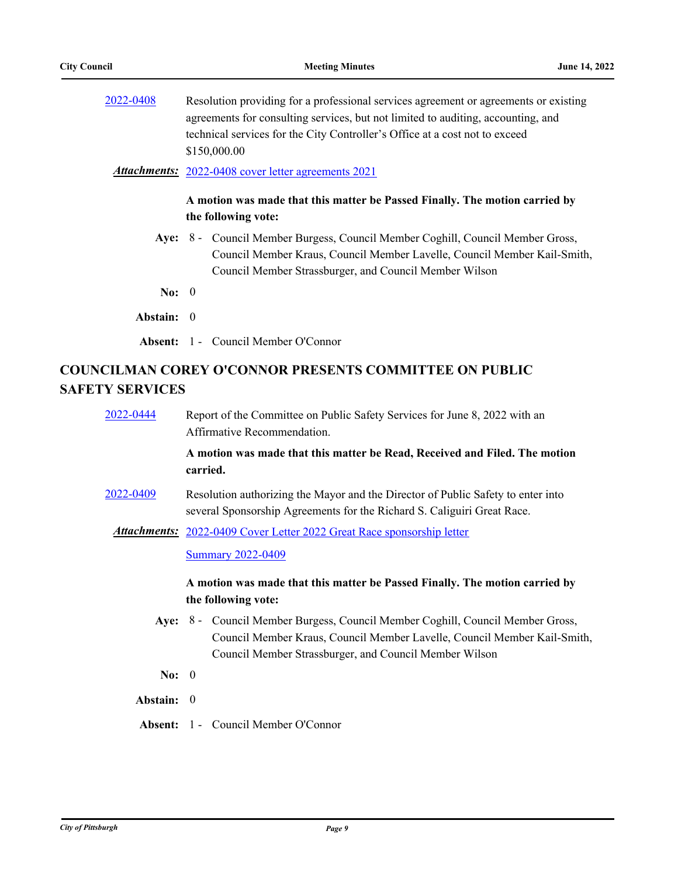| Resolution providing for a professional services agreement or agreements or existing |
|--------------------------------------------------------------------------------------|
| agreements for consulting services, but not limited to auditing, accounting, and     |
| technical services for the City Controller's Office at a cost not to exceed          |
| \$150,000.00                                                                         |
|                                                                                      |

*Attachments:* [2022-0408 cover letter agreements 2021](http://pittsburgh.legistar.com/gateway.aspx?M=F&ID=6f3b3c16-ea8e-406b-9b08-15fb268db7dd.doc)

#### **A motion was made that this matter be Passed Finally. The motion carried by the following vote:**

Aye: 8 - Council Member Burgess, Council Member Coghill, Council Member Gross, Council Member Kraus, Council Member Lavelle, Council Member Kail-Smith, Council Member Strassburger, and Council Member Wilson

**No:** 0

- **Abstain:** 0
- **Absent:** 1 Council Member O'Connor

## **COUNCILMAN COREY O'CONNOR PRESENTS COMMITTEE ON PUBLIC SAFETY SERVICES**

[2022-0444](http://pittsburgh.legistar.com/gateway.aspx?m=l&id=/matter.aspx?key=27839) Report of the Committee on Public Safety Services for June 8, 2022 with an Affirmative Recommendation.

> **A motion was made that this matter be Read, Received and Filed. The motion carried.**

- [2022-0409](http://pittsburgh.legistar.com/gateway.aspx?m=l&id=/matter.aspx?key=27792) Resolution authorizing the Mayor and the Director of Public Safety to enter into several Sponsorship Agreements for the Richard S. Caliguiri Great Race.
	- Attachments: [2022-0409 Cover Letter 2022 Great Race sponsorship letter](http://pittsburgh.legistar.com/gateway.aspx?M=F&ID=f2e7223d-6dce-43a1-9dc4-85730ef261c2.pdf)

**[Summary 2022-0409](http://pittsburgh.legistar.com/gateway.aspx?M=F&ID=cbfc8501-bee1-4713-a56b-094fc2a310f3.docx)** 

- Aye: 8 Council Member Burgess, Council Member Coghill, Council Member Gross, Council Member Kraus, Council Member Lavelle, Council Member Kail-Smith, Council Member Strassburger, and Council Member Wilson
- **No:** 0
- **Abstain:** 0
- **Absent:** 1 Council Member O'Connor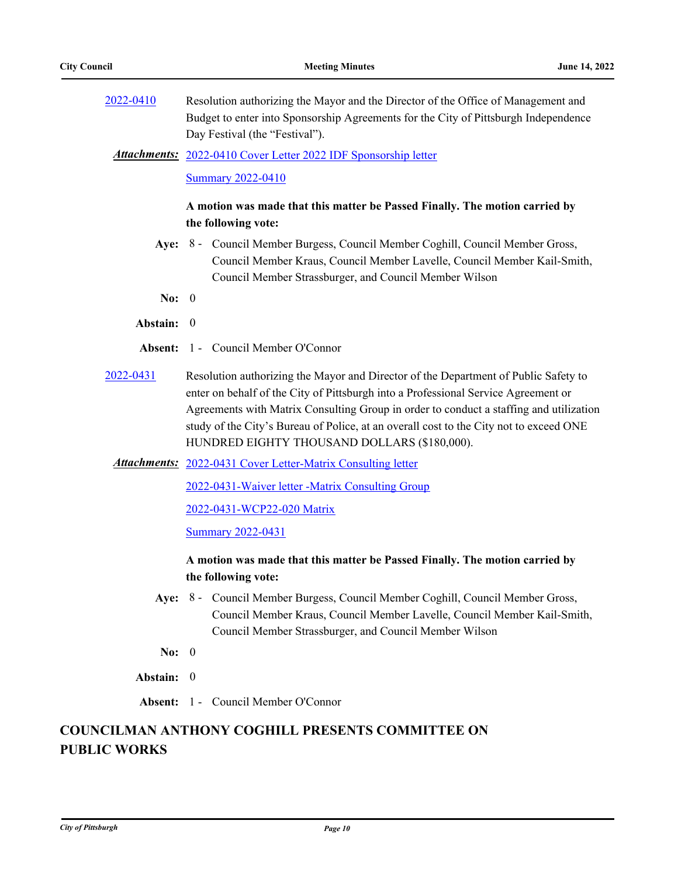[2022-0410](http://pittsburgh.legistar.com/gateway.aspx?m=l&id=/matter.aspx?key=27793) Resolution authorizing the Mayor and the Director of the Office of Management and Budget to enter into Sponsorship Agreements for the City of Pittsburgh Independence Day Festival (the "Festival").

[2022-0410 Cover Letter 2022 IDF Sponsorship letter](http://pittsburgh.legistar.com/gateway.aspx?M=F&ID=c8194c41-0630-4de4-a73d-4d71343ef8d4.docx) *Attachments:*

[Summary 2022-0410](http://pittsburgh.legistar.com/gateway.aspx?M=F&ID=6fd5bed8-e40a-4e87-a47e-6285b27f6bc5.docx)

#### **A motion was made that this matter be Passed Finally. The motion carried by the following vote:**

- Aye: 8 Council Member Burgess, Council Member Coghill, Council Member Gross, Council Member Kraus, Council Member Lavelle, Council Member Kail-Smith, Council Member Strassburger, and Council Member Wilson
- **No:** 0
- **Abstain:** 0
- **Absent:** 1 Council Member O'Connor
- [2022-0431](http://pittsburgh.legistar.com/gateway.aspx?m=l&id=/matter.aspx?key=27814) Resolution authorizing the Mayor and Director of the Department of Public Safety to enter on behalf of the City of Pittsburgh into a Professional Service Agreement or Agreements with Matrix Consulting Group in order to conduct a staffing and utilization study of the City's Bureau of Police, at an overall cost to the City not to exceed ONE HUNDRED EIGHTY THOUSAND DOLLARS (\$180,000).

Attachments: [2022-0431 Cover Letter-Matrix Consulting letter](http://pittsburgh.legistar.com/gateway.aspx?M=F&ID=6d6da022-5314-4a55-90be-6b82c789c752.pdf)

[2022-0431-Waiver letter -Matrix Consulting Group](http://pittsburgh.legistar.com/gateway.aspx?M=F&ID=476e9cfe-45f0-466e-b5f4-d1c7f0430f0f.pdf)

[2022-0431-WCP22-020 Matrix](http://pittsburgh.legistar.com/gateway.aspx?M=F&ID=df28dc5a-e163-4b64-81a5-c1672651ce31.pdf)

[Summary 2022-0431](http://pittsburgh.legistar.com/gateway.aspx?M=F&ID=8742a570-375e-4645-9299-7cc546eeeb01.docx)

### **A motion was made that this matter be Passed Finally. The motion carried by the following vote:**

- Aye: 8 Council Member Burgess, Council Member Coghill, Council Member Gross, Council Member Kraus, Council Member Lavelle, Council Member Kail-Smith, Council Member Strassburger, and Council Member Wilson
- **No:** 0
- **Abstain:** 0
- **Absent:** 1 Council Member O'Connor

# **COUNCILMAN ANTHONY COGHILL PRESENTS COMMITTEE ON PUBLIC WORKS**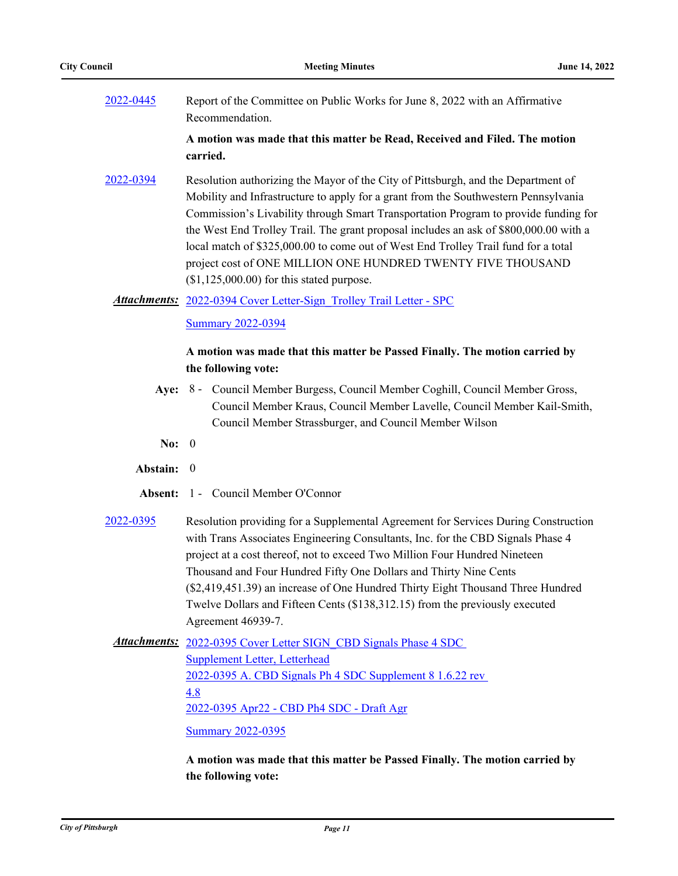[2022-0445](http://pittsburgh.legistar.com/gateway.aspx?m=l&id=/matter.aspx?key=27840) Report of the Committee on Public Works for June 8, 2022 with an Affirmative Recommendation.

> **A motion was made that this matter be Read, Received and Filed. The motion carried.**

[2022-0394](http://pittsburgh.legistar.com/gateway.aspx?m=l&id=/matter.aspx?key=27777) Resolution authorizing the Mayor of the City of Pittsburgh, and the Department of Mobility and Infrastructure to apply for a grant from the Southwestern Pennsylvania Commission's Livability through Smart Transportation Program to provide funding for the West End Trolley Trail. The grant proposal includes an ask of \$800,000.00 with a local match of \$325,000.00 to come out of West End Trolley Trail fund for a total project cost of ONE MILLION ONE HUNDRED TWENTY FIVE THOUSAND  $($1,125,000.00)$  for this stated purpose.

Attachments: 2022-0394 Cover Letter-Sign Trolley Trail Letter - SPC

[Summary 2022-0394](http://pittsburgh.legistar.com/gateway.aspx?M=F&ID=d1949c93-6295-4666-8e11-9696fc89b8d1.docx)

#### **A motion was made that this matter be Passed Finally. The motion carried by the following vote:**

- Aye: 8 Council Member Burgess, Council Member Coghill, Council Member Gross, Council Member Kraus, Council Member Lavelle, Council Member Kail-Smith, Council Member Strassburger, and Council Member Wilson
- **No:** 0
- **Abstain:** 0
- **Absent:** 1 Council Member O'Connor
- [2022-0395](http://pittsburgh.legistar.com/gateway.aspx?m=l&id=/matter.aspx?key=27778) Resolution providing for a Supplemental Agreement for Services During Construction with Trans Associates Engineering Consultants, Inc. for the CBD Signals Phase 4 project at a cost thereof, not to exceed Two Million Four Hundred Nineteen Thousand and Four Hundred Fifty One Dollars and Thirty Nine Cents (\$2,419,451.39) an increase of One Hundred Thirty Eight Thousand Three Hundred Twelve Dollars and Fifteen Cents (\$138,312.15) from the previously executed Agreement 46939-7.

Attachments: 2022-0395 Cover Letter SIGN CBD Signals Phase 4 SDC Supplement Letter, Letterhead [2022-0395 A. CBD Signals Ph 4 SDC Supplement 8 1.6.22 rev](http://pittsburgh.legistar.com/gateway.aspx?M=F&ID=fd7b856f-0028-4cea-8ad5-047c521211cb.pdf)  4.8 [2022-0395 Apr22 - CBD Ph4 SDC - Draft Agr](http://pittsburgh.legistar.com/gateway.aspx?M=F&ID=fa98f643-8922-4be3-ad61-17f906305e28.pdf) [Summary 2022-0395](http://pittsburgh.legistar.com/gateway.aspx?M=F&ID=f5bf1a11-d72d-4344-becc-66a62bcc3d66.docx)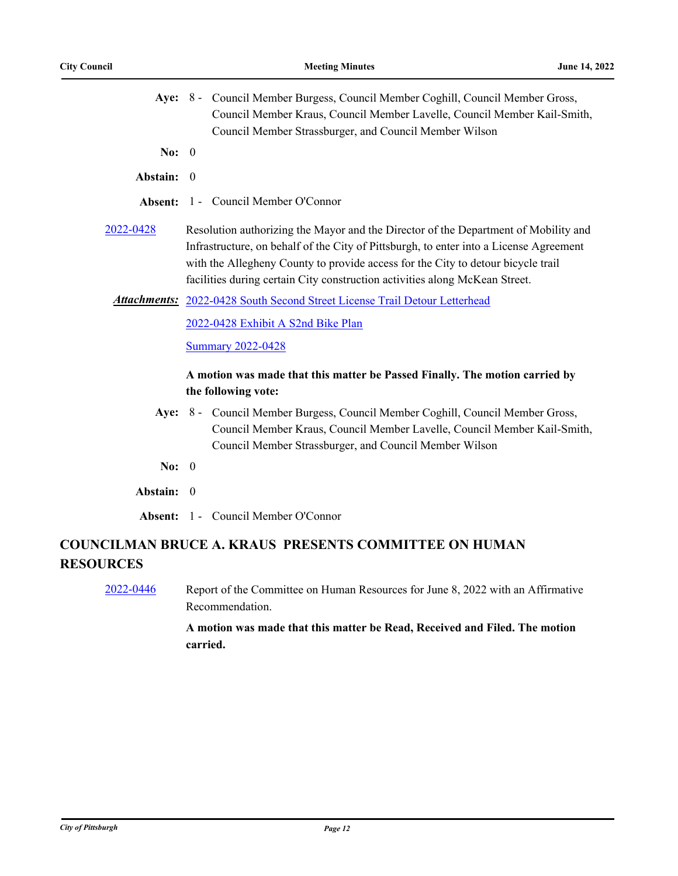|                                                                                  | Aye: 8 - Council Member Burgess, Council Member Coghill, Council Member Gross,<br>Council Member Kraus, Council Member Lavelle, Council Member Kail-Smith,<br>Council Member Strassburger, and Council Member Wilson                                                                                                                             |  |
|----------------------------------------------------------------------------------|--------------------------------------------------------------------------------------------------------------------------------------------------------------------------------------------------------------------------------------------------------------------------------------------------------------------------------------------------|--|
| No: $0$                                                                          |                                                                                                                                                                                                                                                                                                                                                  |  |
| Abstain: 0                                                                       |                                                                                                                                                                                                                                                                                                                                                  |  |
| Absent:                                                                          | 1 - Council Member O'Connor                                                                                                                                                                                                                                                                                                                      |  |
| 2022-0428                                                                        | Resolution authorizing the Mayor and the Director of the Department of Mobility and<br>Infrastructure, on behalf of the City of Pittsburgh, to enter into a License Agreement<br>with the Allegheny County to provide access for the City to detour bicycle trail<br>facilities during certain City construction activities along McKean Street. |  |
|                                                                                  | <b>Attachments:</b> 2022-0428 South Second Street License Trail Detour Letterhead                                                                                                                                                                                                                                                                |  |
|                                                                                  | 2022-0428 Exhibit A S2nd Bike Plan<br><b>Summary 2022-0428</b>                                                                                                                                                                                                                                                                                   |  |
|                                                                                  | A motion was made that this matter be Passed Finally. The motion carried by<br>the following vote:                                                                                                                                                                                                                                               |  |
|                                                                                  | Aye: 8 - Council Member Burgess, Council Member Coghill, Council Member Gross,<br>Council Member Kraus, Council Member Lavelle, Council Member Kail-Smith,<br>Council Member Strassburger, and Council Member Wilson                                                                                                                             |  |
| No: 0                                                                            |                                                                                                                                                                                                                                                                                                                                                  |  |
| Abstain: 0                                                                       |                                                                                                                                                                                                                                                                                                                                                  |  |
|                                                                                  | <b>Absent:</b> 1 - Council Member O'Connor                                                                                                                                                                                                                                                                                                       |  |
| <b>COUNCILMAN BRUCE A. KRAUS PRESENTS COMMITTEE ON HUMAN</b><br><b>RESOURCES</b> |                                                                                                                                                                                                                                                                                                                                                  |  |
| 2022-0446                                                                        | Report of the Committee on Human Resources for June 8, 2022 with an Affirmative                                                                                                                                                                                                                                                                  |  |

**A motion was made that this matter be Read, Received and Filed. The motion carried.**

Recommendation.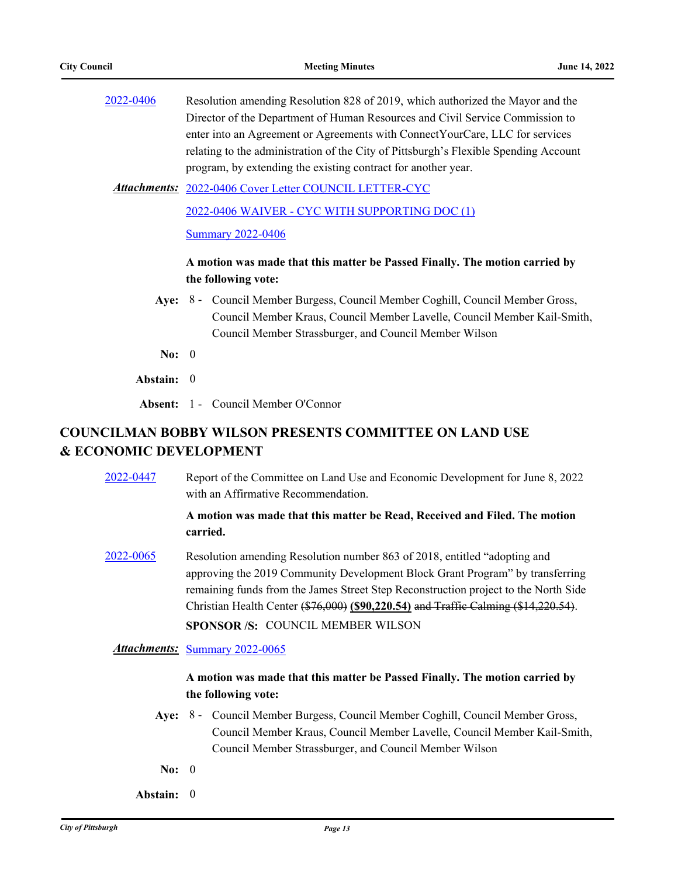| 2022-0406 | Resolution amending Resolution 828 of 2019, which authorized the Mayor and the       |
|-----------|--------------------------------------------------------------------------------------|
|           | Director of the Department of Human Resources and Civil Service Commission to        |
|           | enter into an Agreement or Agreements with Connect YourCare, LLC for services        |
|           | relating to the administration of the City of Pittsburgh's Flexible Spending Account |
|           | program, by extending the existing contract for another year.                        |
|           |                                                                                      |

[2022-0406 Cover Letter COUNCIL LETTER-CYC](http://pittsburgh.legistar.com/gateway.aspx?M=F&ID=b80fbd75-e220-4c1c-80bd-a87d344db6a5.pdf) *Attachments:*

[2022-0406 WAIVER - CYC WITH SUPPORTING DOC \(1\)](http://pittsburgh.legistar.com/gateway.aspx?M=F&ID=106484d5-0f7a-4128-8ed1-2f6027ef7700.pdf)

[Summary 2022-0406](http://pittsburgh.legistar.com/gateway.aspx?M=F&ID=c785a25e-7520-46b4-8f14-a84cf3d48958.docx)

#### **A motion was made that this matter be Passed Finally. The motion carried by the following vote:**

- Aye: 8 Council Member Burgess, Council Member Coghill, Council Member Gross, Council Member Kraus, Council Member Lavelle, Council Member Kail-Smith, Council Member Strassburger, and Council Member Wilson
- **No:** 0
- **Abstain:** 0

**Absent:** 1 - Council Member O'Connor

## **COUNCILMAN BOBBY WILSON PRESENTS COMMITTEE ON LAND USE & ECONOMIC DEVELOPMENT**

[2022-0447](http://pittsburgh.legistar.com/gateway.aspx?m=l&id=/matter.aspx?key=27842) Report of the Committee on Land Use and Economic Development for June 8, 2022 with an Affirmative Recommendation.

#### **A motion was made that this matter be Read, Received and Filed. The motion carried.**

[2022-0065](http://pittsburgh.legistar.com/gateway.aspx?m=l&id=/matter.aspx?key=27364) Resolution amending Resolution number 863 of 2018, entitled "adopting and approving the 2019 Community Development Block Grant Program" by transferring remaining funds from the James Street Step Reconstruction project to the North Side Christian Health Center (\$76,000) **(\$90,220.54)** and Traffic Calming (\$14,220.54). **SPONSOR /S:** COUNCIL MEMBER WILSON

*Attachments:* [Summary 2022-0065](http://pittsburgh.legistar.com/gateway.aspx?M=F&ID=61f71b04-da01-4eef-9ab2-58035195a3f9.docx)

- Aye: 8 Council Member Burgess, Council Member Coghill, Council Member Gross, Council Member Kraus, Council Member Lavelle, Council Member Kail-Smith, Council Member Strassburger, and Council Member Wilson
- **No:** 0
- **Abstain:** 0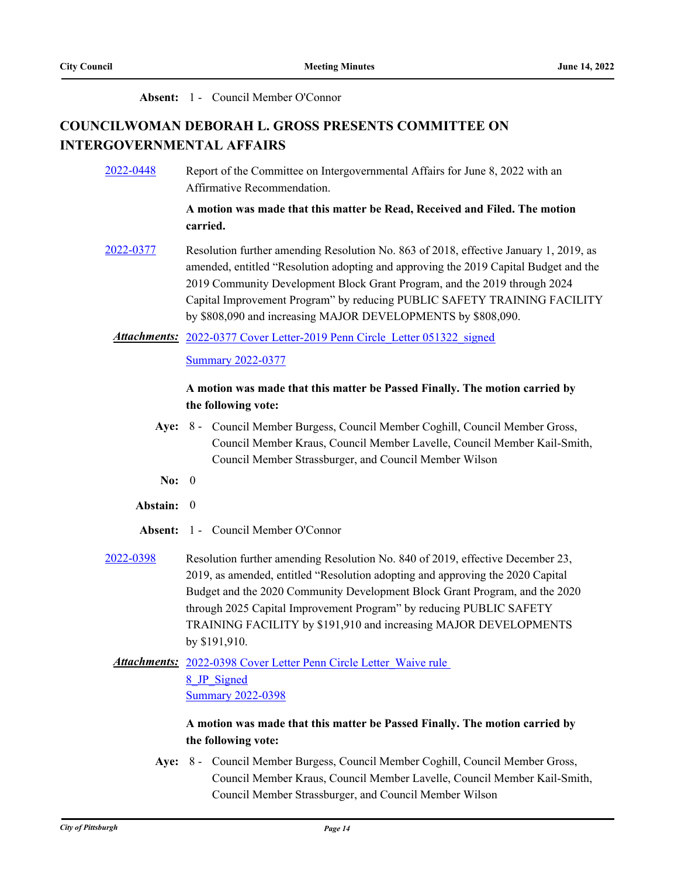#### **Absent:** 1 - Council Member O'Connor

# **COUNCILWOMAN DEBORAH L. GROSS PRESENTS COMMITTEE ON INTERGOVERNMENTAL AFFAIRS**

[2022-0448](http://pittsburgh.legistar.com/gateway.aspx?m=l&id=/matter.aspx?key=27843) Report of the Committee on Intergovernmental Affairs for June 8, 2022 with an Affirmative Recommendation.

#### **A motion was made that this matter be Read, Received and Filed. The motion carried.**

[2022-0377](http://pittsburgh.legistar.com/gateway.aspx?m=l&id=/matter.aspx?key=27759) Resolution further amending Resolution No. 863 of 2018, effective January 1, 2019, as amended, entitled "Resolution adopting and approving the 2019 Capital Budget and the 2019 Community Development Block Grant Program, and the 2019 through 2024 Capital Improvement Program" by reducing PUBLIC SAFETY TRAINING FACILITY by \$808,090 and increasing MAJOR DEVELOPMENTS by \$808,090.

Attachments: 2022-0377 Cover Letter-2019 Penn Circle Letter 051322 signed

[Summary 2022-0377](http://pittsburgh.legistar.com/gateway.aspx?M=F&ID=7be6f85f-03fc-4394-bc82-f15f6269be8e.docx)

#### **A motion was made that this matter be Passed Finally. The motion carried by the following vote:**

- Aye: 8 Council Member Burgess, Council Member Coghill, Council Member Gross, Council Member Kraus, Council Member Lavelle, Council Member Kail-Smith, Council Member Strassburger, and Council Member Wilson
- **No:** 0
- **Abstain:** 0
- **Absent:** 1 Council Member O'Connor
- [2022-0398](http://pittsburgh.legistar.com/gateway.aspx?m=l&id=/matter.aspx?key=27781) Resolution further amending Resolution No. 840 of 2019, effective December 23, 2019, as amended, entitled "Resolution adopting and approving the 2020 Capital Budget and the 2020 Community Development Block Grant Program, and the 2020 through 2025 Capital Improvement Program" by reducing PUBLIC SAFETY TRAINING FACILITY by \$191,910 and increasing MAJOR DEVELOPMENTS by \$191,910.

Attachments: 2022-0398 Cover Letter Penn Circle Letter Waive rule 8\_JP\_Signed [Summary 2022-0398](http://pittsburgh.legistar.com/gateway.aspx?M=F&ID=af12b834-849a-47d6-b005-b21de858404c.docx)

### **A motion was made that this matter be Passed Finally. The motion carried by the following vote:**

Aye: 8 - Council Member Burgess, Council Member Coghill, Council Member Gross, Council Member Kraus, Council Member Lavelle, Council Member Kail-Smith, Council Member Strassburger, and Council Member Wilson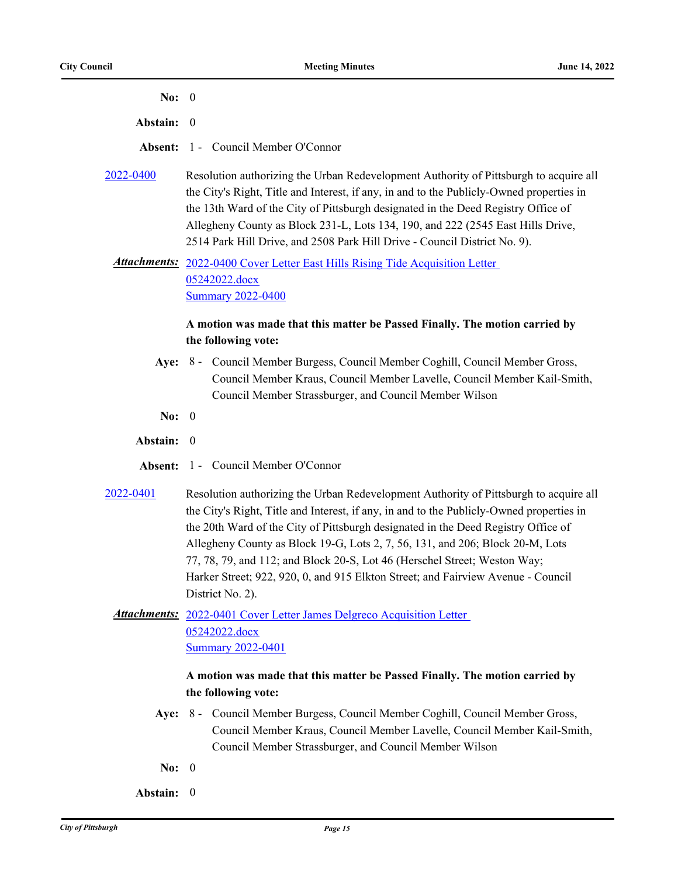| No: $0$   |                                                                                                                                                                                                                                                                                                                                                                                                                                                                                                                                              |
|-----------|----------------------------------------------------------------------------------------------------------------------------------------------------------------------------------------------------------------------------------------------------------------------------------------------------------------------------------------------------------------------------------------------------------------------------------------------------------------------------------------------------------------------------------------------|
| Abstain:  | $\theta$                                                                                                                                                                                                                                                                                                                                                                                                                                                                                                                                     |
| Absent:   | 1 - Council Member O'Connor                                                                                                                                                                                                                                                                                                                                                                                                                                                                                                                  |
| 2022-0400 | Resolution authorizing the Urban Redevelopment Authority of Pittsburgh to acquire all<br>the City's Right, Title and Interest, if any, in and to the Publicly-Owned properties in<br>the 13th Ward of the City of Pittsburgh designated in the Deed Registry Office of<br>Allegheny County as Block 231-L, Lots 134, 190, and 222 (2545 East Hills Drive,<br>2514 Park Hill Drive, and 2508 Park Hill Drive - Council District No. 9).                                                                                                       |
|           | <b>Attachments:</b> 2022-0400 Cover Letter East Hills Rising Tide Acquisition Letter<br>05242022.docx<br><b>Summary 2022-0400</b>                                                                                                                                                                                                                                                                                                                                                                                                            |
|           | A motion was made that this matter be Passed Finally. The motion carried by<br>the following vote:                                                                                                                                                                                                                                                                                                                                                                                                                                           |
|           | Aye: 8 - Council Member Burgess, Council Member Coghill, Council Member Gross,<br>Council Member Kraus, Council Member Lavelle, Council Member Kail-Smith,<br>Council Member Strassburger, and Council Member Wilson                                                                                                                                                                                                                                                                                                                         |
| No: $0$   |                                                                                                                                                                                                                                                                                                                                                                                                                                                                                                                                              |
| Abstain:  | $\theta$                                                                                                                                                                                                                                                                                                                                                                                                                                                                                                                                     |
| Absent:   | 1 - Council Member O'Connor                                                                                                                                                                                                                                                                                                                                                                                                                                                                                                                  |
| 2022-0401 | Resolution authorizing the Urban Redevelopment Authority of Pittsburgh to acquire all<br>the City's Right, Title and Interest, if any, in and to the Publicly-Owned properties in<br>the 20th Ward of the City of Pittsburgh designated in the Deed Registry Office of<br>Allegheny County as Block 19-G, Lots 2, 7, 56, 131, and 206; Block 20-M, Lots<br>77, 78, 79, and 112; and Block 20-S, Lot 46 (Herschel Street; Weston Way;<br>Harker Street; 922, 920, 0, and 915 Elkton Street; and Fairview Avenue - Council<br>District No. 2). |
|           | <b>Attachments:</b> 2022-0401 Cover Letter James Delgreco Acquisition Letter<br>05242022.docx<br><b>Summary 2022-0401</b>                                                                                                                                                                                                                                                                                                                                                                                                                    |
|           | A motion was made that this matter be Passed Finally. The motion carried by<br>the following vote:<br>Aye: 8 - Council Member Burgess, Council Member Coghill, Council Member Gross,<br>Council Member Kraus, Council Member Lavelle, Council Member Kail-Smith,<br>Council Member Strassburger, and Council Member Wilson                                                                                                                                                                                                                   |
| No: $0$   |                                                                                                                                                                                                                                                                                                                                                                                                                                                                                                                                              |

**Abstain:** 0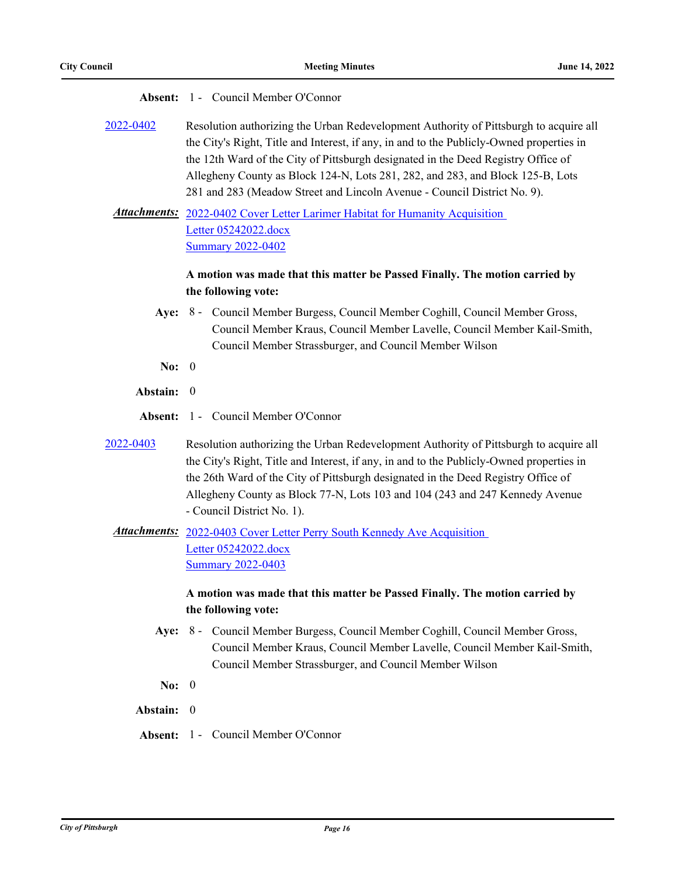| Absent:          | 1 - Council Member O'Connor                                                                                                                                                                                                                                                                                                                                                                                                          |
|------------------|--------------------------------------------------------------------------------------------------------------------------------------------------------------------------------------------------------------------------------------------------------------------------------------------------------------------------------------------------------------------------------------------------------------------------------------|
| <u>2022-0402</u> | Resolution authorizing the Urban Redevelopment Authority of Pittsburgh to acquire all<br>the City's Right, Title and Interest, if any, in and to the Publicly-Owned properties in<br>the 12th Ward of the City of Pittsburgh designated in the Deed Registry Office of<br>Allegheny County as Block 124-N, Lots 281, 282, and 283, and Block 125-B, Lots<br>281 and 283 (Meadow Street and Lincoln Avenue - Council District No. 9). |
|                  | <b>Attachments:</b> 2022-0402 Cover Letter Larimer Habitat for Humanity Acquisition<br>Letter 05242022.docx<br><b>Summary 2022-0402</b>                                                                                                                                                                                                                                                                                              |
|                  | A motion was made that this matter be Passed Finally. The motion carried by                                                                                                                                                                                                                                                                                                                                                          |
| Aye:             | the following vote:<br>8 - Council Member Burgess, Council Member Coghill, Council Member Gross,<br>Council Member Kraus, Council Member Lavelle, Council Member Kail-Smith,<br>Council Member Strassburger, and Council Member Wilson                                                                                                                                                                                               |
| No: $0$          |                                                                                                                                                                                                                                                                                                                                                                                                                                      |
| Abstain:         | - 0                                                                                                                                                                                                                                                                                                                                                                                                                                  |
| Absent:          | 1 - Council Member O'Connor                                                                                                                                                                                                                                                                                                                                                                                                          |
| <u>2022-0403</u> | Resolution authorizing the Urban Redevelopment Authority of Pittsburgh to acquire all<br>the City's Right, Title and Interest, if any, in and to the Publicly-Owned properties in<br>the 26th Ward of the City of Pittsburgh designated in the Deed Registry Office of<br>Allegheny County as Block 77-N, Lots 103 and 104 (243 and 247 Kennedy Avenue<br>- Council District No. 1).                                                 |
|                  | <b>Attachments:</b> 2022-0403 Cover Letter Perry South Kennedy Ave Acquisition<br>Letter 05242022.docx<br><b>Summary 2022-0403</b>                                                                                                                                                                                                                                                                                                   |
|                  | A motion was made that this matter be Passed Finally. The motion carried by<br>the following vote:                                                                                                                                                                                                                                                                                                                                   |
|                  | Aye: 8 - Council Member Burgess, Council Member Coghill, Council Member Gross,<br>Council Member Kraus, Council Member Lavelle, Council Member Kail-Smith,<br>Council Member Strassburger, and Council Member Wilson                                                                                                                                                                                                                 |
| No: $0$          |                                                                                                                                                                                                                                                                                                                                                                                                                                      |
| Abstain: 0       |                                                                                                                                                                                                                                                                                                                                                                                                                                      |
|                  | <b>Absent: 1 - Council Member O'Connor</b>                                                                                                                                                                                                                                                                                                                                                                                           |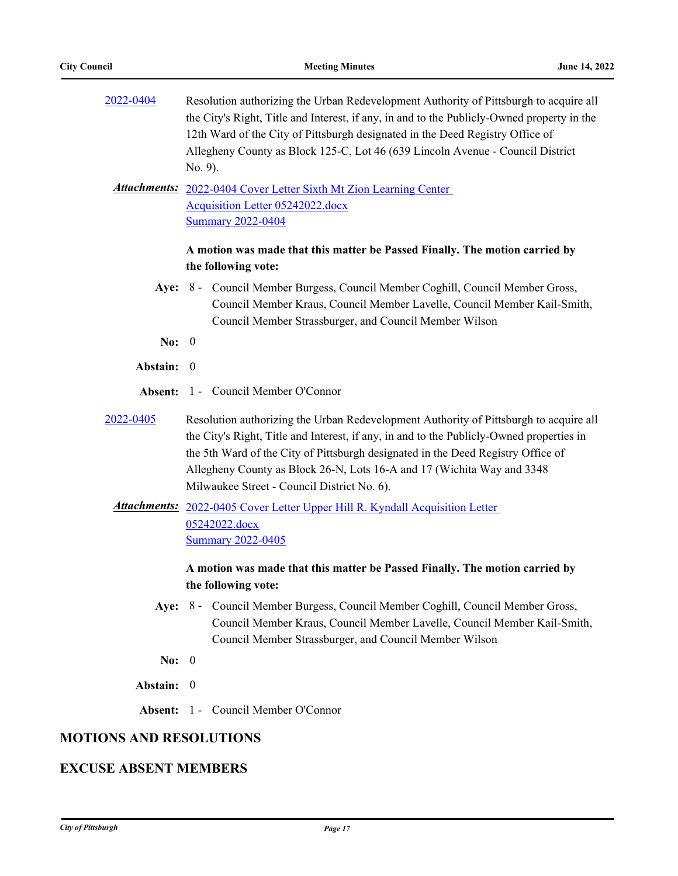| 2022-0404                      | Resolution authorizing the Urban Redevelopment Authority of Pittsburgh to acquire all<br>the City's Right, Title and Interest, if any, in and to the Publicly-Owned property in the<br>12th Ward of the City of Pittsburgh designated in the Deed Registry Office of<br>Allegheny County as Block 125-C, Lot 46 (639 Lincoln Avenue - Council District<br>No. 9).<br><b>Attachments:</b> 2022-0404 Cover Letter Sixth Mt Zion Learning Center<br>Acquisition Letter 05242022.docx<br><b>Summary 2022-0404</b> |  |
|--------------------------------|---------------------------------------------------------------------------------------------------------------------------------------------------------------------------------------------------------------------------------------------------------------------------------------------------------------------------------------------------------------------------------------------------------------------------------------------------------------------------------------------------------------|--|
|                                | A motion was made that this matter be Passed Finally. The motion carried by<br>the following vote:                                                                                                                                                                                                                                                                                                                                                                                                            |  |
|                                | Aye: 8 - Council Member Burgess, Council Member Coghill, Council Member Gross,<br>Council Member Kraus, Council Member Lavelle, Council Member Kail-Smith,<br>Council Member Strassburger, and Council Member Wilson                                                                                                                                                                                                                                                                                          |  |
| No: $0$                        |                                                                                                                                                                                                                                                                                                                                                                                                                                                                                                               |  |
| Abstain: 0                     |                                                                                                                                                                                                                                                                                                                                                                                                                                                                                                               |  |
| Absent:                        | 1 - Council Member O'Connor                                                                                                                                                                                                                                                                                                                                                                                                                                                                                   |  |
| 2022-0405                      | Resolution authorizing the Urban Redevelopment Authority of Pittsburgh to acquire all                                                                                                                                                                                                                                                                                                                                                                                                                         |  |
|                                | the City's Right, Title and Interest, if any, in and to the Publicly-Owned properties in<br>the 5th Ward of the City of Pittsburgh designated in the Deed Registry Office of<br>Allegheny County as Block 26-N, Lots 16-A and 17 (Wichita Way and 3348<br>Milwaukee Street - Council District No. 6).<br>Attachments: 2022-0405 Cover Letter Upper Hill R. Kyndall Acquisition Letter<br>05242022.docx<br><b>Summary 2022-0405</b>                                                                            |  |
|                                | A motion was made that this matter be Passed Finally. The motion carried by<br>the following vote:                                                                                                                                                                                                                                                                                                                                                                                                            |  |
|                                | Aye: 8 - Council Member Burgess, Council Member Coghill, Council Member Gross,<br>Council Member Kraus, Council Member Lavelle, Council Member Kail-Smith,<br>Council Member Strassburger, and Council Member Wilson                                                                                                                                                                                                                                                                                          |  |
| No: $0$                        |                                                                                                                                                                                                                                                                                                                                                                                                                                                                                                               |  |
| Abstain: 0                     |                                                                                                                                                                                                                                                                                                                                                                                                                                                                                                               |  |
| Absent:                        | 1 - Council Member O'Connor                                                                                                                                                                                                                                                                                                                                                                                                                                                                                   |  |
| <b>MOTIONS AND RESOLUTIONS</b> |                                                                                                                                                                                                                                                                                                                                                                                                                                                                                                               |  |

# **EXCUSE ABSENT MEMBERS**